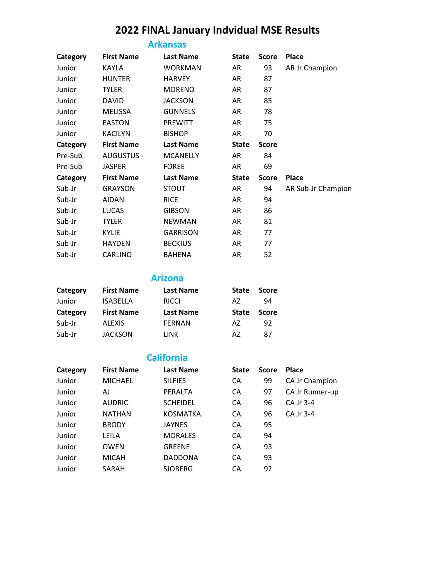# **2022 FINAL January Indvidual MSE Results**

### **Arkansas**

| Category | <b>First Name</b> | <b>Last Name</b> | <b>State</b> | <b>Score</b> | <b>Place</b>       |
|----------|-------------------|------------------|--------------|--------------|--------------------|
| Junior   | KAYLA             | <b>WORKMAN</b>   | AR           | 93           | AR Jr Champion     |
| Junior   | <b>HUNTER</b>     | <b>HARVEY</b>    | AR           | 87           |                    |
| Junior   | TYLER             | <b>MORENO</b>    | AR           | 87           |                    |
| Junior   | DAVID             | <b>JACKSON</b>   | AR           | 85           |                    |
| Junior   | MELISSA           | <b>GUNNELS</b>   | AR           | 78           |                    |
| Junior   | EASTON            | <b>PREWITT</b>   | AR           | 75           |                    |
| Junior   | <b>KACILYN</b>    | <b>BISHOP</b>    | AR           | 70           |                    |
| Category | <b>First Name</b> | <b>Last Name</b> | <b>State</b> | <b>Score</b> |                    |
| Pre-Sub  | <b>AUGUSTUS</b>   | <b>MCANELLY</b>  | AR           | 84           |                    |
| Pre-Sub  | <b>JASPER</b>     | <b>FOREE</b>     | AR           | 69           |                    |
| Category | <b>First Name</b> | <b>Last Name</b> | <b>State</b> | <b>Score</b> | Place              |
| Sub-Jr   | <b>GRAYSON</b>    | <b>STOUT</b>     | AR           | 94           | AR Sub-Jr Champion |
| Sub-Jr   | <b>AIDAN</b>      | <b>RICE</b>      | AR           | 94           |                    |
| Sub-Jr   | LUCAS             | <b>GIBSON</b>    | AR           | 86           |                    |
| Sub-Jr   | <b>TYLER</b>      | <b>NEWMAN</b>    | AR           | 81           |                    |
| Sub-Jr   | KYLIE             | <b>GARRISON</b>  | AR           | 77           |                    |
| Sub-Jr   | <b>HAYDEN</b>     | <b>BECKIUS</b>   | AR           | 77           |                    |
| Sub-Jr   | CARLINO           | BAHENA           | AR           | 52           |                    |
|          |                   |                  |              |              |                    |

**Arizona**

| Category | <b>First Name</b> | <b>Last Name</b> | <b>State</b> | <b>Score</b> |
|----------|-------------------|------------------|--------------|--------------|
| Junior   | <b>ISABELLA</b>   | <b>RICCI</b>     | AZ.          | 94           |
| Category | <b>First Name</b> | <b>Last Name</b> | <b>State</b> | <b>Score</b> |
| Sub-Jr   | <b>ALEXIS</b>     | <b>FERNAN</b>    | A7           | 92           |
| Sub-Jr   | <b>JACKSON</b>    | LINK             | A7           | 87           |

### **California**

| Category | <b>First Name</b> | <b>Last Name</b> | <b>State</b> | <b>Score</b> | <b>Place</b>    |
|----------|-------------------|------------------|--------------|--------------|-----------------|
| Junior   | <b>MICHAEL</b>    | <b>SILFIES</b>   | CA           | 99           | CA Jr Champion  |
| Junior   | AJ                | PERALTA          | CA           | 97           | CA Jr Runner-up |
| Junior   | <b>AUDRIC</b>     | <b>SCHEIDEL</b>  | CA           | 96           | CA Jr 3-4       |
| Junior   | <b>NATHAN</b>     | KOSMATKA         | CA           | 96           | CA Jr 3-4       |
| Junior   | <b>BRODY</b>      | <b>JAYNES</b>    | CA           | 95           |                 |
| Junior   | LEILA             | <b>MORALES</b>   | CA           | 94           |                 |
| Junior   | <b>OWEN</b>       | <b>GREENE</b>    | CA           | 93           |                 |
| Junior   | <b>MICAH</b>      | DADDONA          | CA           | 93           |                 |
| Junior   | SARAH             | <b>SJOBERG</b>   | CA           | 92           |                 |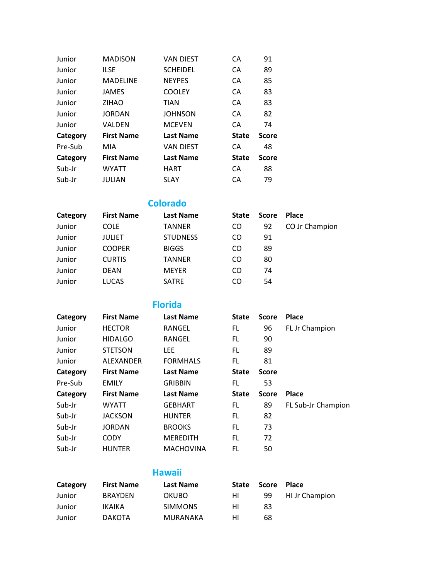| Junior   | <b>MADISON</b>    | <b>VAN DIEST</b> | CА           | 91           |
|----------|-------------------|------------------|--------------|--------------|
| Junior   | <b>ILSE</b>       | <b>SCHEIDEL</b>  | CA           | 89           |
| Junior   | <b>MADELINE</b>   | <b>NEYPES</b>    | CA           | 85           |
| Junior   | <b>JAMES</b>      | <b>COOLEY</b>    | CA           | 83           |
| Junior   | <b>ZIHAO</b>      | <b>TIAN</b>      | CA           | 83           |
| Junior   | <b>JORDAN</b>     | <b>JOHNSON</b>   | CA           | 82           |
| Junior   | VALDEN            | <b>MCEVEN</b>    | CA           | 74           |
| Category | <b>First Name</b> | <b>Last Name</b> | <b>State</b> | <b>Score</b> |
| Pre-Sub  | MIA               | <b>VAN DIEST</b> | CA           | 48           |
| Category | <b>First Name</b> | <b>Last Name</b> | <b>State</b> | <b>Score</b> |
| Sub-Jr   | <b>WYATT</b>      | <b>HART</b>      | CA           | 88           |
| Sub-Jr   | JULIAN            | <b>SLAY</b>      | CA           | 79           |

**Colorado**

| Category | <b>First Name</b> | <b>Last Name</b> | <b>State</b> | <b>Score</b> | <b>Place</b>   |
|----------|-------------------|------------------|--------------|--------------|----------------|
| Junior   | <b>COLE</b>       | <b>TANNER</b>    | CO           | 92           | CO Jr Champion |
| Junior   | <b>JULIET</b>     | <b>STUDNESS</b>  | CO           | 91           |                |
| Junior   | <b>COOPER</b>     | <b>BIGGS</b>     | CO           | 89           |                |
| Junior   | <b>CURTIS</b>     | <b>TANNER</b>    | CO           | 80           |                |
| Junior   | <b>DEAN</b>       | <b>MEYER</b>     | CO           | 74           |                |
| Junior   | <b>LUCAS</b>      | <b>SATRE</b>     | CO           | 54           |                |

**Florida**

| Category | <b>First Name</b> | <b>Last Name</b> | <b>State</b> | <b>Score</b> | <b>Place</b>       |
|----------|-------------------|------------------|--------------|--------------|--------------------|
| Junior   | <b>HECTOR</b>     | RANGEL           | FL           | 96           | FL Jr Champion     |
| Junior   | <b>HIDALGO</b>    | RANGEL           | FL.          | 90           |                    |
| Junior   | <b>STETSON</b>    | LEE.             | FL.          | 89           |                    |
| Junior   | <b>ALEXANDER</b>  | <b>FORMHALS</b>  | FL           | 81           |                    |
| Category | <b>First Name</b> | <b>Last Name</b> | <b>State</b> | <b>Score</b> |                    |
| Pre-Sub  | <b>EMILY</b>      | <b>GRIBBIN</b>   | FL           | 53           |                    |
| Category | <b>First Name</b> | <b>Last Name</b> | <b>State</b> | <b>Score</b> | Place              |
| Sub-Jr   | <b>WYATT</b>      | <b>GEBHART</b>   | FL           | 89           | FL Sub-Jr Champion |
| Sub-Jr   | <b>JACKSON</b>    | <b>HUNTER</b>    | FL.          | 82           |                    |
| Sub-Jr   | <b>JORDAN</b>     | <b>BROOKS</b>    | FL.          | 73           |                    |
| Sub-Jr   | <b>CODY</b>       | <b>MEREDITH</b>  | FL.          | 72           |                    |
| Sub-Jr   | <b>HUNTER</b>     | <b>MACHOVINA</b> | FL           | 50           |                    |

### **Hawaii**

| Category | <b>First Name</b> | Last Name      | State | <b>Score</b> | <b>Place</b>          |
|----------|-------------------|----------------|-------|--------------|-----------------------|
| Junior   | <b>BRAYDEN</b>    | <b>OKUBO</b>   | HI.   | 99           | <b>HI Jr Champion</b> |
| Junior   | IKAIKA            | <b>SIMMONS</b> | нı    | 83           |                       |
| Junior   | <b>DAKOTA</b>     | MURANAKA       | нı    | 68           |                       |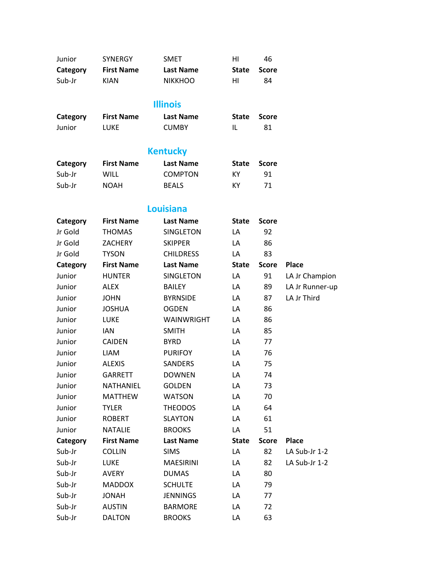| Junior              | <b>SYNERGY</b>    | <b>SMET</b>      | HI           | 46           |                 |
|---------------------|-------------------|------------------|--------------|--------------|-----------------|
| Category            | <b>First Name</b> | <b>Last Name</b> | <b>State</b> | <b>Score</b> |                 |
| Sub-Jr              | <b>KIAN</b>       | <b>NIKKHOO</b>   | HI           | 84           |                 |
|                     |                   |                  |              |              |                 |
|                     |                   | <b>Illinois</b>  |              |              |                 |
| Category            | <b>First Name</b> | <b>Last Name</b> | <b>State</b> | <b>Score</b> |                 |
| Junior              | <b>LUKE</b>       | <b>CUMBY</b>     | IL           | 81           |                 |
|                     |                   |                  |              |              |                 |
|                     |                   | <b>Kentucky</b>  |              |              |                 |
| Category            | <b>First Name</b> | <b>Last Name</b> | <b>State</b> | <b>Score</b> |                 |
| Sub-Jr              | <b>WILL</b>       | <b>COMPTON</b>   | KY           | 91           |                 |
| Sub-Jr              | <b>NOAH</b>       | <b>BEALS</b>     | КY           | 71           |                 |
|                     |                   | <b>Louisiana</b> |              |              |                 |
|                     | <b>First Name</b> | <b>Last Name</b> | <b>State</b> | <b>Score</b> |                 |
| Category<br>Jr Gold |                   |                  |              |              |                 |
|                     | <b>THOMAS</b>     | SINGLETON        | LA           | 92           |                 |
| Jr Gold             | <b>ZACHERY</b>    | <b>SKIPPER</b>   | LA           | 86           |                 |
| Jr Gold             | <b>TYSON</b>      | <b>CHILDRESS</b> | LA           | 83           |                 |
| Category            | <b>First Name</b> | <b>Last Name</b> | <b>State</b> | <b>Score</b> | <b>Place</b>    |
| Junior              | <b>HUNTER</b>     | SINGLETON        | LA           | 91           | LA Jr Champion  |
| Junior              | <b>ALEX</b>       | BAILEY           | LA           | 89           | LA Jr Runner-up |
| Junior              | <b>JOHN</b>       | <b>BYRNSIDE</b>  | LA           | 87           | LA Jr Third     |
| Junior              | <b>JOSHUA</b>     | <b>OGDEN</b>     | LA           | 86           |                 |
| Junior              | <b>LUKE</b>       | WAINWRIGHT       | LA           | 86           |                 |
| Junior              | <b>IAN</b>        | <b>SMITH</b>     | LA           | 85           |                 |
| Junior              | <b>CAIDEN</b>     | <b>BYRD</b>      | LA           | 77           |                 |
| Junior              | <b>LIAM</b>       | <b>PURIFOY</b>   | LA           | 76           |                 |
| Junior              | <b>ALEXIS</b>     | <b>SANDERS</b>   | LA           | 75           |                 |
| Junior              | <b>GARRETT</b>    | <b>DOWNEN</b>    | LA           | 74           |                 |
| Junior              | NATHANIEL         | <b>GOLDEN</b>    | LA           | 73           |                 |
| Junior              | <b>MATTHEW</b>    | <b>WATSON</b>    | LA           | 70           |                 |
| Junior              | <b>TYLER</b>      | <b>THEODOS</b>   | LA           | 64           |                 |
| Junior              | <b>ROBERT</b>     | <b>SLAYTON</b>   | LA           | 61           |                 |
| Junior              | NATALIE           | <b>BROOKS</b>    | LA           | 51           |                 |
| Category            | <b>First Name</b> | <b>Last Name</b> | <b>State</b> | <b>Score</b> | Place           |
| Sub-Jr              | <b>COLLIN</b>     | <b>SIMS</b>      | LA           | 82           | LA Sub-Jr 1-2   |
| Sub-Jr              | LUKE              | <b>MAESIRINI</b> | LA           | 82           | LA Sub-Jr 1-2   |
| Sub-Jr              | AVERY             | <b>DUMAS</b>     | LA           | 80           |                 |
| Sub-Jr              | <b>MADDOX</b>     | <b>SCHULTE</b>   | LA           | 79           |                 |
| Sub-Jr              | <b>JONAH</b>      | <b>JENNINGS</b>  | LA           | 77           |                 |
| Sub-Jr              | <b>AUSTIN</b>     | <b>BARMORE</b>   | LA           | 72           |                 |
| Sub-Jr              | <b>DALTON</b>     | <b>BROOKS</b>    | LA           | 63           |                 |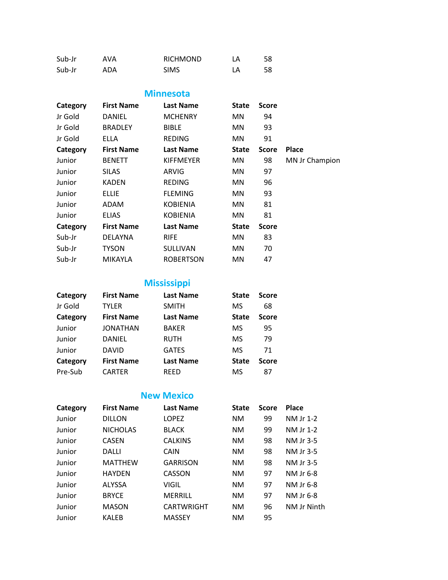| Sub-Jr | AVA | <b>RICHMOND</b> | LA | 58 |
|--------|-----|-----------------|----|----|
| Sub-Jr | ADA | <b>SIMS</b>     | LA | 58 |

#### **Minnesota**

| Category | <b>First Name</b> | <b>Last Name</b> | State        | <b>Score</b> |                |
|----------|-------------------|------------------|--------------|--------------|----------------|
| Jr Gold  | DANIEL            | <b>MCHENRY</b>   | MN.          | 94           |                |
| Jr Gold  | <b>BRADLEY</b>    | <b>BIBLE</b>     | MN.          | 93           |                |
| Jr Gold  | <b>ELLA</b>       | <b>REDING</b>    | MN.          | 91           |                |
| Category | <b>First Name</b> | <b>Last Name</b> | <b>State</b> | <b>Score</b> | <b>Place</b>   |
| Junior   | <b>BENETT</b>     | <b>KIFFMEYER</b> | MN.          | 98           | MN Jr Champion |
| Junior   | <b>SILAS</b>      | ARVIG            | MN.          | 97           |                |
| Junior   | KADEN             | <b>REDING</b>    | MN.          | 96           |                |
| Junior   | <b>ELLIE</b>      | <b>FLEMING</b>   | MN.          | 93           |                |
| Junior   | ADAM              | <b>KOBIENIA</b>  | MN.          | 81           |                |
| Junior   | <b>ELIAS</b>      | <b>KOBIENIA</b>  | MN.          | 81           |                |
| Category | <b>First Name</b> | <b>Last Name</b> | <b>State</b> | <b>Score</b> |                |
| Sub-Jr   | <b>DELAYNA</b>    | <b>RIFE</b>      | MN.          | 83           |                |
| Sub-Jr   | <b>TYSON</b>      | <b>SULLIVAN</b>  | MN.          | 70           |                |
| Sub-Jr   | MIKAYLA           | <b>ROBERTSON</b> | MN           | 47           |                |

### **Mississippi**

| Category | <b>First Name</b> | <b>Last Name</b> | <b>State</b> | <b>Score</b> |
|----------|-------------------|------------------|--------------|--------------|
| Jr Gold  | TYLER             | <b>SMITH</b>     | MS           | 68           |
| Category | <b>First Name</b> | <b>Last Name</b> | <b>State</b> | <b>Score</b> |
| Junior   | JONATHAN          | <b>BAKER</b>     | MS           | 95           |
| Junior   | <b>DANIEL</b>     | <b>RUTH</b>      | <b>MS</b>    | 79           |
| Junior   | <b>DAVID</b>      | <b>GATES</b>     | <b>MS</b>    | 71           |
| Category | <b>First Name</b> | <b>Last Name</b> | <b>State</b> | <b>Score</b> |
| Pre-Sub  | <b>CARTER</b>     | <b>REED</b>      | MS           | 87           |

### **New Mexico**

| Category | <b>First Name</b> | <b>Last Name</b>  | <b>State</b> | <b>Score</b> | <b>Place</b> |
|----------|-------------------|-------------------|--------------|--------------|--------------|
| Junior   | <b>DILLON</b>     | <b>LOPEZ</b>      | <b>NM</b>    | 99           | NM Jr 1-2    |
| Junior   | <b>NICHOLAS</b>   | <b>BLACK</b>      | <b>NM</b>    | 99           | NM Jr 1-2    |
| Junior   | <b>CASEN</b>      | <b>CALKINS</b>    | <b>NM</b>    | 98           | NM Jr 3-5    |
| Junior   | DALLI             | CAIN              | <b>NM</b>    | 98           | NM Jr 3-5    |
| Junior   | <b>MATTHEW</b>    | <b>GARRISON</b>   | <b>NM</b>    | 98           | NM Jr 3-5    |
| Junior   | <b>HAYDEN</b>     | <b>CASSON</b>     | <b>NM</b>    | 97           | NM Jr 6-8    |
| Junior   | <b>ALYSSA</b>     | VIGIL             | <b>NM</b>    | 97           | NM Jr 6-8    |
| Junior   | <b>BRYCE</b>      | <b>MERRILL</b>    | <b>NM</b>    | 97           | NM Jr 6-8    |
| Junior   | <b>MASON</b>      | <b>CARTWRIGHT</b> | <b>NM</b>    | 96           | NM Jr Ninth  |
| Junior   | <b>KALEB</b>      | <b>MASSEY</b>     | NM           | 95           |              |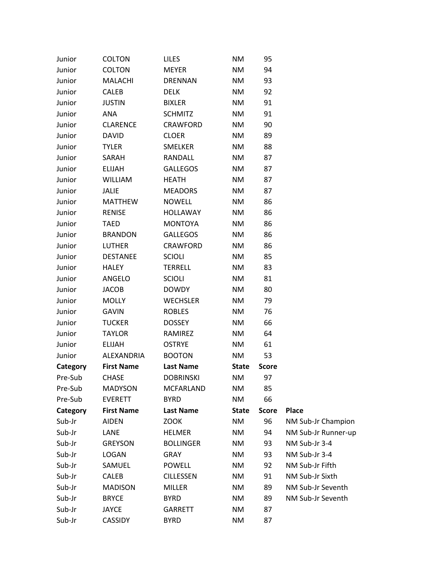| Junior   | <b>COLTON</b>     | <b>LILES</b>     | <b>NM</b>              | 95           |                     |
|----------|-------------------|------------------|------------------------|--------------|---------------------|
| Junior   | <b>COLTON</b>     | <b>MEYER</b>     | <b>NM</b>              | 94           |                     |
| Junior   | <b>MALACHI</b>    | <b>DRENNAN</b>   | <b>NM</b>              | 93           |                     |
| Junior   | <b>CALEB</b>      | <b>DELK</b>      | <b>NM</b>              | 92           |                     |
| Junior   | <b>JUSTIN</b>     | <b>BIXLER</b>    | NM                     | 91           |                     |
| Junior   | ANA               | <b>SCHMITZ</b>   | <b>NM</b>              | 91           |                     |
| Junior   | <b>CLARENCE</b>   | <b>CRAWFORD</b>  | NM                     | 90           |                     |
| Junior   | <b>DAVID</b>      | <b>CLOER</b>     | $\mathsf{N}\mathsf{M}$ | 89           |                     |
| Junior   | <b>TYLER</b>      | <b>SMELKER</b>   | NM                     | 88           |                     |
| Junior   | SARAH             | RANDALL          | <b>NM</b>              | 87           |                     |
| Junior   | <b>ELIJAH</b>     | <b>GALLEGOS</b>  | NM                     | 87           |                     |
| Junior   | <b>WILLIAM</b>    | <b>HEATH</b>     | <b>NM</b>              | 87           |                     |
| Junior   | <b>JALIE</b>      | <b>MEADORS</b>   | NM                     | 87           |                     |
| Junior   | <b>MATTHEW</b>    | <b>NOWELL</b>    | NM                     | 86           |                     |
| Junior   | <b>RENISE</b>     | <b>HOLLAWAY</b>  | NM                     | 86           |                     |
| Junior   | <b>TAED</b>       | <b>MONTOYA</b>   | <b>NM</b>              | 86           |                     |
| Junior   | <b>BRANDON</b>    | <b>GALLEGOS</b>  | NM                     | 86           |                     |
| Junior   | <b>LUTHER</b>     | <b>CRAWFORD</b>  | NM                     | 86           |                     |
| Junior   | <b>DESTANEE</b>   | <b>SCIOLI</b>    | NM                     | 85           |                     |
| Junior   | <b>HALEY</b>      | <b>TERRELL</b>   | <b>NM</b>              | 83           |                     |
| Junior   | ANGELO            | <b>SCIOLI</b>    | NM                     | 81           |                     |
| Junior   | <b>JACOB</b>      | <b>DOWDY</b>     | NM                     | 80           |                     |
| Junior   | <b>MOLLY</b>      | <b>WECHSLER</b>  | NM                     | 79           |                     |
| Junior   | <b>GAVIN</b>      | <b>ROBLES</b>    | $\mathsf{N}\mathsf{M}$ | 76           |                     |
| Junior   | <b>TUCKER</b>     | <b>DOSSEY</b>    | <b>NM</b>              | 66           |                     |
| Junior   | <b>TAYLOR</b>     | RAMIREZ          | NM                     | 64           |                     |
| Junior   | <b>ELIJAH</b>     | <b>OSTRYE</b>    | NM                     | 61           |                     |
| Junior   | ALEXANDRIA        | <b>BOOTON</b>    | <b>NM</b>              | 53           |                     |
| Category | <b>First Name</b> | <b>Last Name</b> | <b>State</b>           | <b>Score</b> |                     |
| Pre-Sub  | <b>CHASE</b>      | <b>DOBRINSKI</b> | <b>NM</b>              | 97           |                     |
| Pre-Sub  | <b>MADYSON</b>    | MCFARLAND        | <b>NM</b>              | 85           |                     |
| Pre-Sub  | <b>EVERETT</b>    | <b>BYRD</b>      | <b>NM</b>              | 66           |                     |
| Category | <b>First Name</b> | <b>Last Name</b> | <b>State</b>           | <b>Score</b> | <b>Place</b>        |
| Sub-Jr   | <b>AIDEN</b>      | <b>ZOOK</b>      | <b>NM</b>              | 96           | NM Sub-Jr Champion  |
| Sub-Jr   | LANE              | <b>HELMER</b>    | NM                     | 94           | NM Sub-Jr Runner-up |
| Sub-Jr   | <b>GREYSON</b>    | <b>BOLLINGER</b> | <b>NM</b>              | 93           | NM Sub-Jr 3-4       |
| Sub-Jr   | LOGAN             | <b>GRAY</b>      | <b>NM</b>              | 93           | NM Sub-Jr 3-4       |
| Sub-Jr   | SAMUEL            | <b>POWELL</b>    | <b>NM</b>              | 92           | NM Sub-Jr Fifth     |
| Sub-Jr   | CALEB             | <b>CILLESSEN</b> | NM                     | 91           | NM Sub-Jr Sixth     |
| Sub-Jr   | <b>MADISON</b>    | <b>MILLER</b>    | <b>NM</b>              | 89           | NM Sub-Jr Seventh   |
| Sub-Jr   | <b>BRYCE</b>      | <b>BYRD</b>      | <b>NM</b>              | 89           | NM Sub-Jr Seventh   |
| Sub-Jr   | <b>JAYCE</b>      | GARRETT          | <b>NM</b>              | 87           |                     |
| Sub-Jr   | <b>CASSIDY</b>    | <b>BYRD</b>      | NM                     | 87           |                     |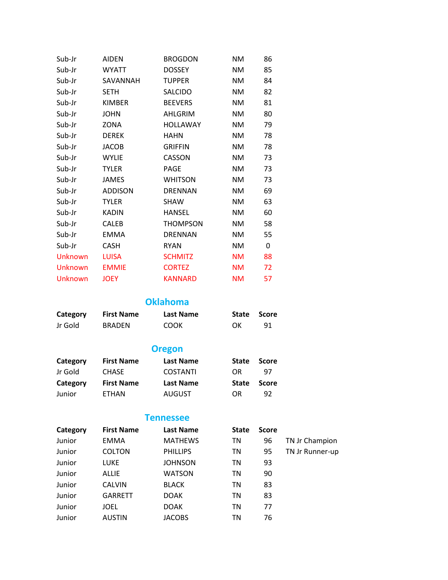| Sub-Jr  | AIDEN          | <b>BROGDON</b>  | ΝM        | 86 |
|---------|----------------|-----------------|-----------|----|
| Sub-Jr  | WYATT          | <b>DOSSEY</b>   | ΝM        | 85 |
| Sub-Jr  | SAVANNAH       | <b>TUPPER</b>   | ΝM        | 84 |
| Sub-Jr  | <b>SETH</b>    | SALCIDO         | NΜ        | 82 |
| Sub-Jr  | <b>KIMBER</b>  | <b>BEEVERS</b>  | NΜ        | 81 |
| Sub-Jr  | JOHN           | AHLGRIM         | NΜ        | 80 |
| Sub-Jr  | ZONA           | <b>HOLLAWAY</b> | NΜ        | 79 |
| Sub-Jr  | <b>DEREK</b>   | HAHN            | NΜ        | 78 |
| Sub-Jr  | JACOB          | <b>GRIFFIN</b>  | NΜ        | 78 |
| Sub-Jr  | <b>WYLIE</b>   | CASSON          | ΝM        | 73 |
| Sub-Jr  | TYLER          | <b>PAGE</b>     | NΜ        | 73 |
| Sub-Jr  | JAMES          | <b>WHITSON</b>  | ΝM        | 73 |
| Sub-Jr  | <b>ADDISON</b> | DRENNAN         | ΝM        | 69 |
| Sub-Jr  | TYLER          | <b>SHAW</b>     | NΜ        | 63 |
| Sub-Jr  | <b>KADIN</b>   | HANSEL          | ΝM        | 60 |
| Sub-Jr  | <b>CALEB</b>   | THOMPSON        | ΝM        | 58 |
| Sub-Jr  | <b>EMMA</b>    | <b>DRENNAN</b>  | NΜ        | 55 |
| Sub-Jr  | <b>CASH</b>    | <b>RYAN</b>     | NΜ        | 0  |
| Unknown | <b>LUISA</b>   | <b>SCHMITZ</b>  | <b>NM</b> | 88 |
| Unknown | <b>EMMIE</b>   | <b>CORTEZ</b>   | <b>NM</b> | 72 |
| Unknown | <b>JOEY</b>    | <b>KANNARD</b>  | <b>NM</b> | 57 |

**Oklahoma**

| Category | <b>First Name</b> | Last Name | State Score |    |
|----------|-------------------|-----------|-------------|----|
| Jr Gold  | <b>BRADEN</b>     | COOK      | OK          | 91 |

### **Oregon**

| Category | <b>First Name</b> | Last Name        | <b>State</b> | Score |
|----------|-------------------|------------------|--------------|-------|
| Jr Gold  | <b>CHASE</b>      | <b>COSTANTI</b>  | OR           | -97   |
|          |                   |                  |              |       |
| Category | <b>First Name</b> | <b>Last Name</b> | <b>State</b> | Score |

**Tennessee**

| Category | <b>First Name</b> | <b>Last Name</b> | <b>State</b> | <b>Score</b> |                 |
|----------|-------------------|------------------|--------------|--------------|-----------------|
| Junior   | <b>EMMA</b>       | <b>MATHEWS</b>   | ΤN           | 96           | TN Jr Champion  |
| Junior   | <b>COLTON</b>     | <b>PHILLIPS</b>  | ΤN           | 95           | TN Jr Runner-up |
| Junior   | LUKE              | <b>JOHNSON</b>   | ΤN           | 93           |                 |
| Junior   | <b>ALLIE</b>      | <b>WATSON</b>    | ΤN           | 90           |                 |
| Junior   | <b>CALVIN</b>     | <b>BLACK</b>     | ΤN           | 83           |                 |
| Junior   | <b>GARRETT</b>    | <b>DOAK</b>      | ΤN           | 83           |                 |
| Junior   | JOEL              | <b>DOAK</b>      | ΤN           | 77           |                 |
| Junior   | <b>AUSTIN</b>     | <b>JACOBS</b>    | ΤN           | 76           |                 |